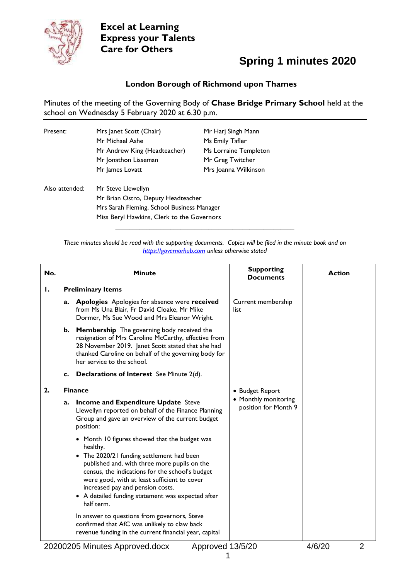

### **Spring 1 minutes 2020**

#### **London Borough of Richmond upon Thames**

Minutes of the meeting of the Governing Body of **Chase Bridge Primary School** held at the school on Wednesday 5 February 2020 at 6.30 p.m.

| Present:       | Mrs Janet Scott (Chair)                    | Mr Harj Singh Mann    |  |
|----------------|--------------------------------------------|-----------------------|--|
|                | Mr Michael Ashe                            | Ms Emily Tafler       |  |
|                | Mr Andrew King (Headteacher)               | Ms Lorraine Templeton |  |
|                | Mr Jonathon Lisseman                       | Mr Greg Twitcher      |  |
|                | Mr James Lovatt                            | Mrs Joanna Wilkinson  |  |
| Also attended: | Mr Steve Llewellyn                         |                       |  |
|                | Mr Brian Ostro, Deputy Headteacher         |                       |  |
|                | Mrs Sarah Fleming, School Business Manager |                       |  |
|                | Miss Beryl Hawkins, Clerk to the Governors |                       |  |
|                |                                            |                       |  |

*These minutes should be read with the supporting documents. Copies will be filed in the minute book and on [https://governorhub.com](https://governorhub.com/) unless otherwise stated*

| No. | <b>Minute</b>                                                                                                                                                                                                                                                                                                                                                                                                                                                    | <b>Supporting</b><br><b>Documents</b>                   | <b>Action</b> |
|-----|------------------------------------------------------------------------------------------------------------------------------------------------------------------------------------------------------------------------------------------------------------------------------------------------------------------------------------------------------------------------------------------------------------------------------------------------------------------|---------------------------------------------------------|---------------|
| Ι.  | <b>Preliminary Items</b>                                                                                                                                                                                                                                                                                                                                                                                                                                         |                                                         |               |
|     | <b>Apologies</b> Apologies for absence were received<br>a.<br>from Ms Una Blair, Fr David Cloake, Mr Mike<br>Dormer, Ms Sue Wood and Mrs Eleanor Wright.                                                                                                                                                                                                                                                                                                         | Current membership<br>list                              |               |
|     | Membership The governing body received the<br>b.<br>resignation of Mrs Caroline McCarthy, effective from<br>28 November 2019. Janet Scott stated that she had<br>thanked Caroline on behalf of the governing body for<br>her service to the school.                                                                                                                                                                                                              |                                                         |               |
|     | Declarations of Interest See Minute 2(d).<br>c.                                                                                                                                                                                                                                                                                                                                                                                                                  |                                                         |               |
| 2.  | <b>Finance</b>                                                                                                                                                                                                                                                                                                                                                                                                                                                   | • Budget Report                                         |               |
|     | <b>Income and Expenditure Update Steve</b><br>a.<br>Llewellyn reported on behalf of the Finance Planning<br>Group and gave an overview of the current budget<br>position:                                                                                                                                                                                                                                                                                        | • Monthly monitoring<br>position for Month 9            |               |
|     | • Month 10 figures showed that the budget was<br>healthy.<br>• The 2020/21 funding settlement had been<br>published and, with three more pupils on the<br>census, the indications for the school's budget<br>were good, with at least sufficient to cover<br>increased pay and pension costs.<br>• A detailed funding statement was expected after<br>half term.<br>In answer to questions from governors, Steve<br>confirmed that AfC was unlikely to claw back |                                                         |               |
|     | revenue funding in the current financial year, capital<br>المسالم المستورين                                                                                                                                                                                                                                                                                                                                                                                      | $\sim$ $\sim$ $\sim$ $\sim$ $\sim$ $\sim$ $\sim$ $\sim$ | 10100         |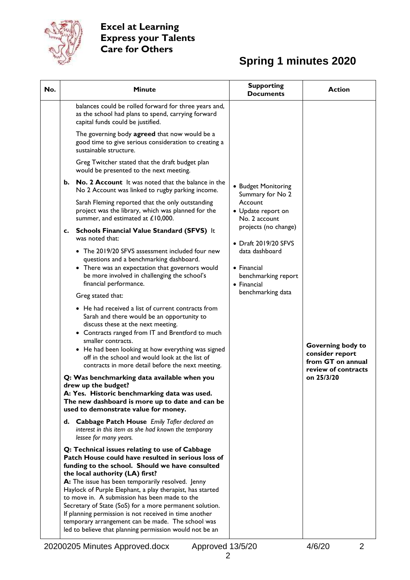

| No. | <b>Minute</b>                                                                                                                                                                                                                                                                                                                                                                                                                                                                                                                                                                                      | <b>Supporting</b><br><b>Documents</b>                               | <b>Action</b>                                                                    |  |
|-----|----------------------------------------------------------------------------------------------------------------------------------------------------------------------------------------------------------------------------------------------------------------------------------------------------------------------------------------------------------------------------------------------------------------------------------------------------------------------------------------------------------------------------------------------------------------------------------------------------|---------------------------------------------------------------------|----------------------------------------------------------------------------------|--|
|     | balances could be rolled forward for three years and,<br>as the school had plans to spend, carrying forward<br>capital funds could be justified.                                                                                                                                                                                                                                                                                                                                                                                                                                                   |                                                                     |                                                                                  |  |
|     | The governing body agreed that now would be a<br>good time to give serious consideration to creating a<br>sustainable structure.                                                                                                                                                                                                                                                                                                                                                                                                                                                                   |                                                                     |                                                                                  |  |
|     | Greg Twitcher stated that the draft budget plan<br>would be presented to the next meeting.                                                                                                                                                                                                                                                                                                                                                                                                                                                                                                         |                                                                     |                                                                                  |  |
|     | <b>No. 2 Account</b> It was noted that the balance in the<br>b.<br>No 2 Account was linked to rugby parking income.                                                                                                                                                                                                                                                                                                                                                                                                                                                                                | • Budget Monitoring<br>Summary for No 2                             |                                                                                  |  |
|     | Sarah Fleming reported that the only outstanding<br>project was the library, which was planned for the<br>summer, and estimated at £10,000.                                                                                                                                                                                                                                                                                                                                                                                                                                                        | Account<br>• Update report on<br>No. 2 account                      |                                                                                  |  |
|     | c. Schools Financial Value Standard (SFVS) It<br>was noted that:                                                                                                                                                                                                                                                                                                                                                                                                                                                                                                                                   | projects (no change)<br>• Draft 2019/20 SFVS                        |                                                                                  |  |
|     | • The 2019/20 SFVS assessment included four new<br>questions and a benchmarking dashboard.<br>• There was an expectation that governors would<br>be more involved in challenging the school's<br>financial performance.                                                                                                                                                                                                                                                                                                                                                                            | data dashboard<br>• Financial<br>benchmarking report<br>• Financial |                                                                                  |  |
|     | Greg stated that:                                                                                                                                                                                                                                                                                                                                                                                                                                                                                                                                                                                  | benchmarking data                                                   |                                                                                  |  |
|     | • He had received a list of current contracts from<br>Sarah and there would be an opportunity to<br>discuss these at the next meeting.<br>• Contracts ranged from IT and Brentford to much<br>smaller contracts.<br>• He had been looking at how everything was signed<br>off in the school and would look at the list of<br>contracts in more detail before the next meeting.                                                                                                                                                                                                                     |                                                                     | Governing body to<br>consider report<br>from GT on annual<br>review of contracts |  |
|     | Q: Was benchmarking data available when you<br>drew up the budget?                                                                                                                                                                                                                                                                                                                                                                                                                                                                                                                                 |                                                                     | on 25/3/20                                                                       |  |
|     | A: Yes. Historic benchmarking data was used.<br>The new dashboard is more up to date and can be<br>used to demonstrate value for money.                                                                                                                                                                                                                                                                                                                                                                                                                                                            |                                                                     |                                                                                  |  |
|     | d. Cabbage Patch House Emily Tafler declared an<br>interest in this item as she had known the temporary<br>lessee for many years.                                                                                                                                                                                                                                                                                                                                                                                                                                                                  |                                                                     |                                                                                  |  |
|     | Q: Technical issues relating to use of Cabbage<br>Patch House could have resulted in serious loss of<br>funding to the school. Should we have consulted<br>the local authority (LA) first?<br>A: The issue has been temporarily resolved. Jenny<br>Haylock of Purple Elephant, a play therapist, has started<br>to move in. A submission has been made to the<br>Secretary of State (SoS) for a more permanent solution.<br>If planning permission is not received in time another<br>temporary arrangement can be made. The school was<br>led to believe that planning permission would not be an |                                                                     |                                                                                  |  |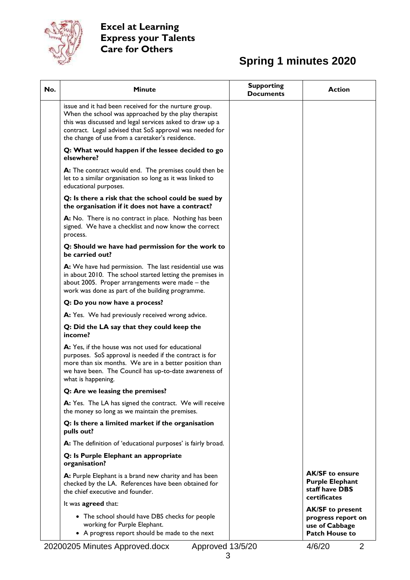

| No. | <b>Minute</b>                                                                                                                                                                                                                                                                            | <b>Supporting</b><br><b>Documents</b> | <b>Action</b>                                                                      |
|-----|------------------------------------------------------------------------------------------------------------------------------------------------------------------------------------------------------------------------------------------------------------------------------------------|---------------------------------------|------------------------------------------------------------------------------------|
|     | issue and it had been received for the nurture group.<br>When the school was approached by the play therapist<br>this was discussed and legal services asked to draw up a<br>contract. Legal advised that SoS approval was needed for<br>the change of use from a caretaker's residence. |                                       |                                                                                    |
|     | Q: What would happen if the lessee decided to go<br>elsewhere?                                                                                                                                                                                                                           |                                       |                                                                                    |
|     | A: The contract would end. The premises could then be<br>let to a similar organisation so long as it was linked to<br>educational purposes.                                                                                                                                              |                                       |                                                                                    |
|     | Q: Is there a risk that the school could be sued by<br>the organisation if it does not have a contract?                                                                                                                                                                                  |                                       |                                                                                    |
|     | A: No. There is no contract in place. Nothing has been<br>signed. We have a checklist and now know the correct<br>process.                                                                                                                                                               |                                       |                                                                                    |
|     | Q: Should we have had permission for the work to<br>be carried out?                                                                                                                                                                                                                      |                                       |                                                                                    |
|     | A: We have had permission. The last residential use was<br>in about 2010. The school started letting the premises in<br>about 2005. Proper arrangements were made - the<br>work was done as part of the building programme.                                                              |                                       |                                                                                    |
|     | Q: Do you now have a process?                                                                                                                                                                                                                                                            |                                       |                                                                                    |
|     | A: Yes. We had previously received wrong advice.                                                                                                                                                                                                                                         |                                       |                                                                                    |
|     | Q: Did the LA say that they could keep the<br>income?                                                                                                                                                                                                                                    |                                       |                                                                                    |
|     | A: Yes, if the house was not used for educational<br>purposes. SoS approval is needed if the contract is for<br>more than six months. We are in a better position than<br>we have been. The Council has up-to-date awareness of<br>what is happening.                                    |                                       |                                                                                    |
|     | Q: Are we leasing the premises?                                                                                                                                                                                                                                                          |                                       |                                                                                    |
|     | A: Yes. The LA has signed the contract. We will receive<br>the money so long as we maintain the premises.                                                                                                                                                                                |                                       |                                                                                    |
|     | Q: Is there a limited market if the organisation<br>pulls out?                                                                                                                                                                                                                           |                                       |                                                                                    |
|     | A: The definition of 'educational purposes' is fairly broad.                                                                                                                                                                                                                             |                                       |                                                                                    |
|     | Q: Is Purple Elephant an appropriate<br>organisation?                                                                                                                                                                                                                                    |                                       |                                                                                    |
|     | A: Purple Elephant is a brand new charity and has been<br>checked by the LA. References have been obtained for<br>the chief executive and founder.                                                                                                                                       |                                       | <b>AK/SF to ensure</b><br><b>Purple Elephant</b><br>staff have DBS<br>certificates |
|     | It was agreed that:                                                                                                                                                                                                                                                                      |                                       | <b>AK/SF to present</b>                                                            |
|     | • The school should have DBS checks for people<br>working for Purple Elephant.<br>• A progress report should be made to the next                                                                                                                                                         |                                       | progress report on<br>use of Cabbage<br><b>Patch House to</b>                      |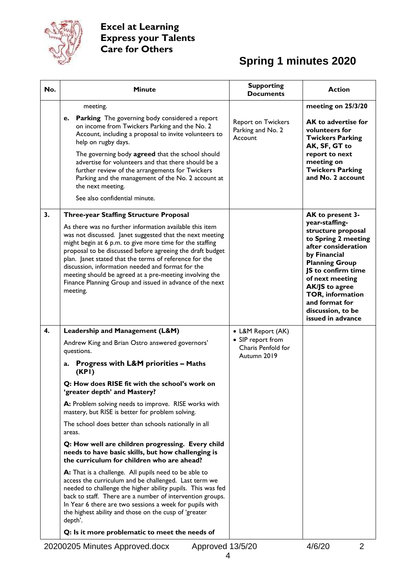

| No. | <b>Minute</b>                                                                                                                                                                                                                                                                                                                                                                                                                                                                                  | <b>Supporting</b><br><b>Documents</b>                  | <b>Action</b>                                                                                                                                                                                                                                                                 |  |
|-----|------------------------------------------------------------------------------------------------------------------------------------------------------------------------------------------------------------------------------------------------------------------------------------------------------------------------------------------------------------------------------------------------------------------------------------------------------------------------------------------------|--------------------------------------------------------|-------------------------------------------------------------------------------------------------------------------------------------------------------------------------------------------------------------------------------------------------------------------------------|--|
|     | meeting.                                                                                                                                                                                                                                                                                                                                                                                                                                                                                       |                                                        | meeting on 25/3/20                                                                                                                                                                                                                                                            |  |
|     | Parking The governing body considered a report<br>e.<br>on income from Twickers Parking and the No. 2<br>Account, including a proposal to invite volunteers to<br>help on rugby days.                                                                                                                                                                                                                                                                                                          | Report on Twickers<br>Parking and No. 2<br>Account     | AK to advertise for<br>volunteers for<br><b>Twickers Parking</b><br>AK, SF, GT to                                                                                                                                                                                             |  |
|     | The governing body agreed that the school should<br>advertise for volunteers and that there should be a<br>further review of the arrangements for Twickers<br>Parking and the management of the No. 2 account at<br>the next meeting.                                                                                                                                                                                                                                                          |                                                        | report to next<br>meeting on<br><b>Twickers Parking</b><br>and No. 2 account                                                                                                                                                                                                  |  |
|     | See also confidential minute.                                                                                                                                                                                                                                                                                                                                                                                                                                                                  |                                                        |                                                                                                                                                                                                                                                                               |  |
| 3.  | <b>Three-year Staffing Structure Proposal</b>                                                                                                                                                                                                                                                                                                                                                                                                                                                  |                                                        | AK to present 3-                                                                                                                                                                                                                                                              |  |
|     | As there was no further information available this item<br>was not discussed. Janet suggested that the next meeting<br>might begin at 6 p.m. to give more time for the staffing<br>proposal to be discussed before agreeing the draft budget<br>plan. Janet stated that the terms of reference for the<br>discussion, information needed and format for the<br>meeting should be agreed at a pre-meeting involving the<br>Finance Planning Group and issued in advance of the next<br>meeting. |                                                        | year-staffing-<br>structure proposal<br>to Spring 2 meeting<br>after consideration<br>by Financial<br><b>Planning Group</b><br>JS to confirm time<br>of next meeting<br>AK/JS to agree<br><b>TOR, information</b><br>and format for<br>discussion, to be<br>issued in advance |  |
| 4.  | Leadership and Management (L&M)                                                                                                                                                                                                                                                                                                                                                                                                                                                                | • L&M Report (AK)                                      |                                                                                                                                                                                                                                                                               |  |
|     | Andrew King and Brian Ostro answered governors'<br>questions.                                                                                                                                                                                                                                                                                                                                                                                                                                  | • SIP report from<br>Charis Penfold for<br>Autumn 2019 |                                                                                                                                                                                                                                                                               |  |
|     | <b>Progress with L&amp;M priorities - Maths</b><br>a.<br>(KPI)                                                                                                                                                                                                                                                                                                                                                                                                                                 |                                                        |                                                                                                                                                                                                                                                                               |  |
|     | Q: How does RISE fit with the school's work on<br>'greater depth' and Mastery?                                                                                                                                                                                                                                                                                                                                                                                                                 |                                                        |                                                                                                                                                                                                                                                                               |  |
|     | A: Problem solving needs to improve. RISE works with<br>mastery, but RISE is better for problem solving.                                                                                                                                                                                                                                                                                                                                                                                       |                                                        |                                                                                                                                                                                                                                                                               |  |
|     | The school does better than schools nationally in all<br>areas.                                                                                                                                                                                                                                                                                                                                                                                                                                |                                                        |                                                                                                                                                                                                                                                                               |  |
|     | Q: How well are children progressing. Every child<br>needs to have basic skills, but how challenging is<br>the curriculum for children who are ahead?                                                                                                                                                                                                                                                                                                                                          |                                                        |                                                                                                                                                                                                                                                                               |  |
|     | A: That is a challenge. All pupils need to be able to<br>access the curriculum and be challenged. Last term we<br>needed to challenge the higher ability pupils. This was fed<br>back to staff. There are a number of intervention groups.<br>In Year 6 there are two sessions a week for pupils with<br>the highest ability and those on the cusp of 'greater<br>depth'.                                                                                                                      |                                                        |                                                                                                                                                                                                                                                                               |  |
|     | Q: Is it more problematic to meet the needs of                                                                                                                                                                                                                                                                                                                                                                                                                                                 |                                                        |                                                                                                                                                                                                                                                                               |  |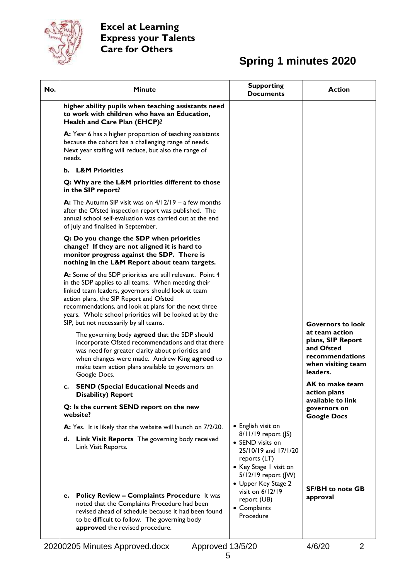

| No. | <b>Minute</b>                                                                                                                                                                                                                                                                                                                                                                   | <b>Supporting</b><br><b>Documents</b>                                                                                                                                         | <b>Action</b>                                                                                          |
|-----|---------------------------------------------------------------------------------------------------------------------------------------------------------------------------------------------------------------------------------------------------------------------------------------------------------------------------------------------------------------------------------|-------------------------------------------------------------------------------------------------------------------------------------------------------------------------------|--------------------------------------------------------------------------------------------------------|
|     | higher ability pupils when teaching assistants need<br>to work with children who have an Education,<br>Health and Care Plan (EHCP)?                                                                                                                                                                                                                                             |                                                                                                                                                                               |                                                                                                        |
|     | A: Year 6 has a higher proportion of teaching assistants<br>because the cohort has a challenging range of needs.<br>Next year staffing will reduce, but also the range of<br>needs.                                                                                                                                                                                             |                                                                                                                                                                               |                                                                                                        |
|     | <b>L&amp;M Priorities</b><br>b.                                                                                                                                                                                                                                                                                                                                                 |                                                                                                                                                                               |                                                                                                        |
|     | Q: Why are the L&M priorities different to those<br>in the SIP report?                                                                                                                                                                                                                                                                                                          |                                                                                                                                                                               |                                                                                                        |
|     | A: The Autumn SIP visit was on $4/12/19 - a$ few months<br>after the Ofsted inspection report was published. The<br>annual school self-evaluation was carried out at the end<br>of July and finalised in September.                                                                                                                                                             |                                                                                                                                                                               |                                                                                                        |
|     | Q: Do you change the SDP when priorities<br>change? If they are not aligned it is hard to<br>monitor progress against the SDP. There is<br>nothing in the L&M Report about team targets.                                                                                                                                                                                        |                                                                                                                                                                               |                                                                                                        |
|     | A: Some of the SDP priorities are still relevant. Point 4<br>in the SDP applies to all teams. When meeting their<br>linked team leaders, governors should look at team<br>action plans, the SIP Report and Ofsted<br>recommendations, and look at plans for the next three<br>years. Whole school priorities will be looked at by the<br>SIP, but not necessarily by all teams. |                                                                                                                                                                               | <b>Governors to look</b>                                                                               |
|     | The governing body agreed that the SDP should<br>incorporate Ofsted recommendations and that there<br>was need for greater clarity about priorities and<br>when changes were made. Andrew King agreed to<br>make team action plans available to governors on<br>Google Docs.                                                                                                    |                                                                                                                                                                               | at team action<br>plans, SIP Report<br>and Ofsted<br>recommendations<br>when visiting team<br>leaders. |
|     | c. SEND (Special Educational Needs and<br><b>Disability) Report</b>                                                                                                                                                                                                                                                                                                             |                                                                                                                                                                               | <b>AK</b> to make team<br>action plans                                                                 |
|     | Q: Is the current SEND report on the new<br>website?                                                                                                                                                                                                                                                                                                                            | • English visit on<br>8/11/19 report (JS)<br>• SEND visits on<br>25/10/19 and 17/1/20<br>reports (LT)<br>• Key Stage I visit on<br>5/12/19 report (JW)<br>• Upper Key Stage 2 | available to link<br>governors on<br><b>Google Docs</b>                                                |
|     | A: Yes. It is likely that the website will launch on 7/2/20.                                                                                                                                                                                                                                                                                                                    |                                                                                                                                                                               |                                                                                                        |
|     | <b>Link Visit Reports</b> The governing body received<br>d.<br>Link Visit Reports.                                                                                                                                                                                                                                                                                              |                                                                                                                                                                               |                                                                                                        |
|     | <b>Policy Review - Complaints Procedure It was</b><br>е.<br>noted that the Complaints Procedure had been<br>revised ahead of schedule because it had been found<br>to be difficult to follow. The governing body<br>approved the revised procedure.                                                                                                                             | visit on 6/12/19<br>report (UB)<br>• Complaints<br>Procedure                                                                                                                  | <b>SF/BH</b> to note GB<br>approval                                                                    |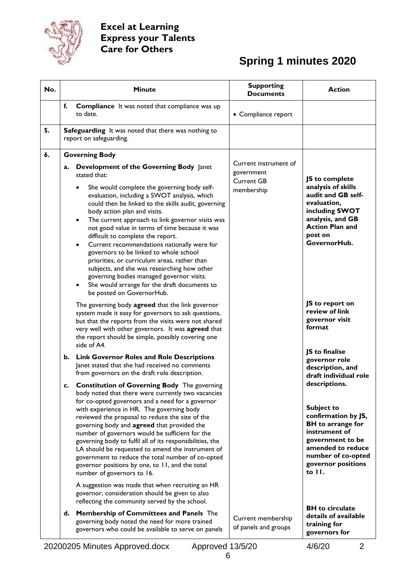

| No. | <b>Minute</b>                                                                                                                                                                                                                                                                                                                                                                                                                                                                                                                                                                                                                                                                                                                                        | <b>Supporting</b><br><b>Documents</b>                                  | <b>Action</b>                                                                                                                                                                                         |
|-----|------------------------------------------------------------------------------------------------------------------------------------------------------------------------------------------------------------------------------------------------------------------------------------------------------------------------------------------------------------------------------------------------------------------------------------------------------------------------------------------------------------------------------------------------------------------------------------------------------------------------------------------------------------------------------------------------------------------------------------------------------|------------------------------------------------------------------------|-------------------------------------------------------------------------------------------------------------------------------------------------------------------------------------------------------|
|     | f.<br><b>Compliance</b> It was noted that compliance was up<br>to date.                                                                                                                                                                                                                                                                                                                                                                                                                                                                                                                                                                                                                                                                              | • Compliance report                                                    |                                                                                                                                                                                                       |
| 5.  | <b>Safeguarding</b> It was noted that there was nothing to<br>report on safeguarding.                                                                                                                                                                                                                                                                                                                                                                                                                                                                                                                                                                                                                                                                |                                                                        |                                                                                                                                                                                                       |
| 6.  | <b>Governing Body</b>                                                                                                                                                                                                                                                                                                                                                                                                                                                                                                                                                                                                                                                                                                                                |                                                                        |                                                                                                                                                                                                       |
|     | Development of the Governing Body Janet<br>a.<br>stated that:<br>She would complete the governing body self-<br>٠<br>evaluation, including a SWOT analysis, which<br>could then be linked to the skills audit, governing<br>body action plan and visits.<br>The current approach to link governor visits was<br>$\bullet$<br>not good value in terms of time because it was<br>difficult to complete the report.<br>Current recommendations nationally were for<br>$\bullet$<br>governors to be linked to whole school<br>priorities, or curriculum areas, rather than<br>subjects, and she was researching how other<br>governing bodies managed governor visits.<br>She would arrange for the draft documents to<br>٠<br>be posted on GovernorHub. | Current instrument of<br>government<br><b>Current GB</b><br>membership | JS to complete<br>analysis of skills<br>audit and GB self-<br>evaluation,<br>including SWOT<br>analysis, and GB<br><b>Action Plan and</b><br>post on<br>GovernorHub.                                  |
|     | The governing body agreed that the link governor<br>system made it easy for governors to ask questions,<br>but that the reports from the visits were not shared<br>very well with other governors. It was agreed that<br>the report should be simple, possibly covering one<br>side of A4.                                                                                                                                                                                                                                                                                                                                                                                                                                                           |                                                                        | JS to report on<br>review of link<br>governor visit<br>format                                                                                                                                         |
|     | <b>Link Governor Roles and Role Descriptions</b><br>b.<br>Janet stated that she had received no comments<br>from governors on the draft role description.                                                                                                                                                                                                                                                                                                                                                                                                                                                                                                                                                                                            |                                                                        | JS to finalise<br>governor role<br>description, and<br>draft individual role                                                                                                                          |
|     | <b>Constitution of Governing Body</b> The governing<br>body noted that there were currently two vacancies<br>for co-opted governors and a need for a governor<br>with experience in HR. The governing body<br>reviewed the proposal to reduce the size of the<br>governing body and agreed that provided the<br>number of governors would be sufficient for the<br>governing body to fulfil all of its responsibilities, the<br>LA should be requested to amend the instrument of<br>government to reduce the total number of co-opted<br>governor positions by one, to 11, and the total<br>number of governors to 16.                                                                                                                              |                                                                        | descriptions.<br><b>Subject to</b><br>confirmation by JS,<br><b>BH</b> to arrange for<br>instrument of<br>government to be<br>amended to reduce<br>number of co-opted<br>governor positions<br>to II. |
|     | A suggestion was made that when recruiting an HR<br>governor, consideration should be given to also<br>reflecting the community served by the school.<br>Membership of Committees and Panels The<br>d.<br>governing body noted the need for more trained<br>governors who could be available to serve on panels<br>20200205 Minutes Approved.docx<br>Approved 13/5/20                                                                                                                                                                                                                                                                                                                                                                                | Current membership<br>of panels and groups                             | <b>BH</b> to circulate<br>details of available<br>training for<br>governors for<br>4/6/20<br>$\overline{2}$                                                                                           |